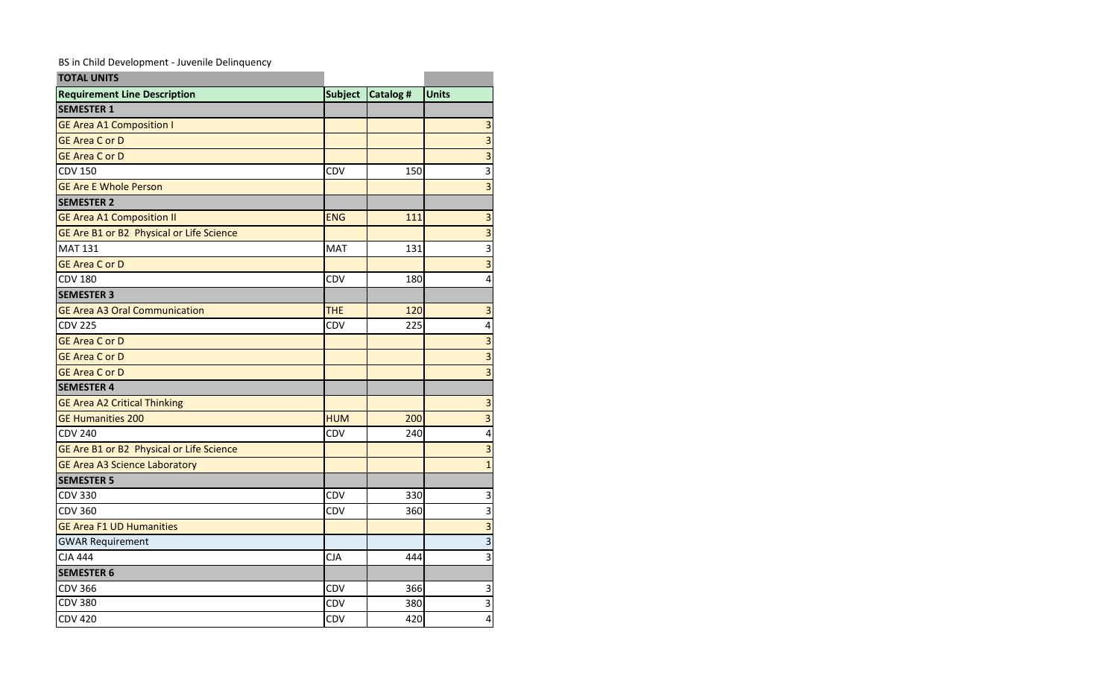BS in Child Development - Juvenile Delinquency

| <b>TOTAL UNITS</b>                       |                |                 |                           |
|------------------------------------------|----------------|-----------------|---------------------------|
| <b>Requirement Line Description</b>      | <b>Subject</b> | <b>Catalog#</b> | <b>Units</b>              |
| <b>SEMESTER 1</b>                        |                |                 |                           |
| <b>GE Area A1 Composition I</b>          |                |                 | $\overline{\mathbf{3}}$   |
| <b>GE Area C or D</b>                    |                |                 | $\overline{3}$            |
| <b>GE Area C or D</b>                    |                |                 | $\overline{\mathbf{3}}$   |
| <b>CDV 150</b>                           | CDV            | 150             | $\overline{\overline{3}}$ |
| <b>GE Are E Whole Person</b>             |                |                 | $\overline{3}$            |
| <b>SEMESTER 2</b>                        |                |                 |                           |
| <b>GE Area A1 Composition II</b>         | <b>ENG</b>     | 111             | $\overline{\mathbf{3}}$   |
| GE Are B1 or B2 Physical or Life Science |                |                 | $\overline{3}$            |
| <b>MAT 131</b>                           | <b>MAT</b>     | 131             | $\overline{\mathbf{3}}$   |
| <b>GE Area C or D</b>                    |                |                 | $\overline{3}$            |
| <b>CDV 180</b>                           | CDV            | 180             | 4                         |
| <b>SEMESTER 3</b>                        |                |                 |                           |
| <b>GE Area A3 Oral Communication</b>     | <b>THE</b>     | 120             | $\overline{\mathbf{3}}$   |
| <b>CDV 225</b>                           | CDV            | 225             | $\overline{\mathbf{4}}$   |
| <b>GE Area C or D</b>                    |                |                 | 3                         |
| <b>GE Area C or D</b>                    |                |                 | $\overline{3}$            |
| <b>GE Area C or D</b>                    |                |                 | $\overline{3}$            |
| <b>SEMESTER 4</b>                        |                |                 |                           |
| <b>GE Area A2 Critical Thinking</b>      |                |                 | $\overline{\mathbf{3}}$   |
| <b>GE Humanities 200</b>                 | <b>HUM</b>     | 200             | $\overline{3}$            |
| <b>CDV 240</b>                           | CDV            | 240             | $\overline{\mathbf{4}}$   |
| GE Are B1 or B2 Physical or Life Science |                |                 | $\overline{3}$            |
| <b>GE Area A3 Science Laboratory</b>     |                |                 | $\overline{1}$            |
| <b>SEMESTER 5</b>                        |                |                 |                           |
| <b>CDV 330</b>                           | CDV            | 330             | 3                         |
| <b>CDV 360</b>                           | CDV            | 360             | $\overline{3}$            |
| <b>GE Area F1 UD Humanities</b>          |                |                 | $\overline{3}$            |
| <b>GWAR Requirement</b>                  |                |                 | $\overline{3}$            |
| <b>CJA 444</b>                           | <b>CJA</b>     | 444             | 3                         |
| <b>SEMESTER 6</b>                        |                |                 |                           |
| <b>CDV 366</b>                           | CDV            | 366             | $\mathsf 3$               |
| <b>CDV 380</b>                           | <b>CDV</b>     | 380             | $\overline{3}$            |
| <b>CDV 420</b>                           | CDV            | 420             | 4                         |